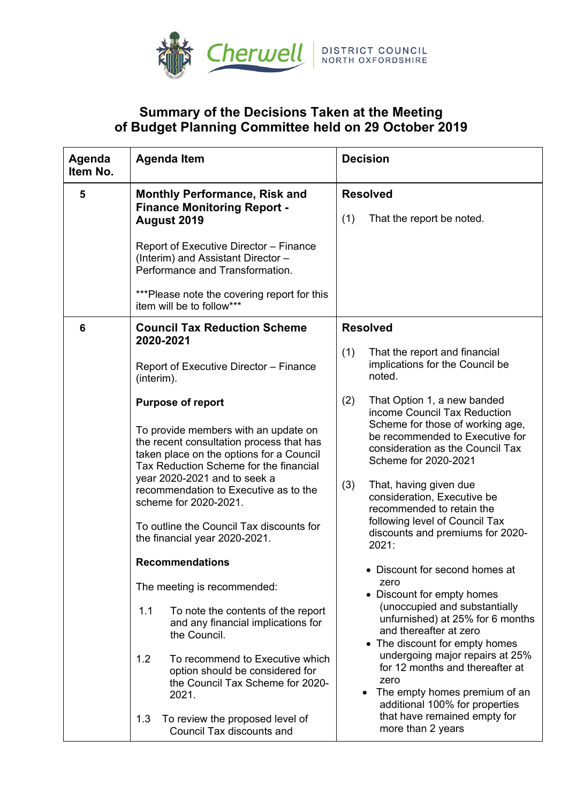

## **Summary of the Decisions Taken at the Meeting of Budget Planning Committee held on 29 October 2019**

| Agenda<br>Item No. | <b>Agenda Item</b>                                                                                                             | <b>Decision</b>                                                                                                                               |
|--------------------|--------------------------------------------------------------------------------------------------------------------------------|-----------------------------------------------------------------------------------------------------------------------------------------------|
| 5                  | <b>Monthly Performance, Risk and</b><br><b>Finance Monitoring Report -</b><br>August 2019                                      | <b>Resolved</b>                                                                                                                               |
|                    |                                                                                                                                | (1)<br>That the report be noted.                                                                                                              |
|                    | Report of Executive Director - Finance<br>(Interim) and Assistant Director -<br>Performance and Transformation.                |                                                                                                                                               |
|                    | ***Please note the covering report for this<br>item will be to follow***                                                       |                                                                                                                                               |
| 6                  | <b>Council Tax Reduction Scheme</b><br>2020-2021                                                                               | <b>Resolved</b>                                                                                                                               |
|                    | Report of Executive Director - Finance<br>(interim).                                                                           | (1)<br>That the report and financial<br>implications for the Council be<br>noted.                                                             |
|                    | <b>Purpose of report</b><br>To provide members with an update on                                                               | That Option 1, a new banded<br>(2)<br>income Council Tax Reduction<br>Scheme for those of working age,                                        |
|                    | the recent consultation process that has<br>taken place on the options for a Council<br>Tax Reduction Scheme for the financial | be recommended to Executive for<br>consideration as the Council Tax<br>Scheme for 2020-2021                                                   |
|                    | year 2020-2021 and to seek a<br>recommendation to Executive as to the<br>scheme for 2020-2021.                                 | (3)<br>That, having given due<br>consideration, Executive be<br>recommended to retain the                                                     |
|                    | To outline the Council Tax discounts for<br>the financial year 2020-2021.                                                      | following level of Council Tax<br>discounts and premiums for 2020-<br>2021:                                                                   |
|                    | <b>Recommendations</b>                                                                                                         | • Discount for second homes at                                                                                                                |
|                    | The meeting is recommended:                                                                                                    | zero<br>• Discount for empty homes                                                                                                            |
|                    | 1.1<br>To note the contents of the report<br>and any financial implications for<br>the Council.                                | (unoccupied and substantially<br>unfurnished) at 25% for 6 months<br>and thereafter at zero<br>• The discount for empty homes                 |
|                    | 1.2<br>To recommend to Executive which<br>option should be considered for<br>the Council Tax Scheme for 2020-<br>2021.         | undergoing major repairs at 25%<br>for 12 months and thereafter at<br>zero<br>The empty homes premium of an<br>additional 100% for properties |
|                    | 1.3<br>To review the proposed level of<br>Council Tax discounts and                                                            | that have remained empty for<br>more than 2 years                                                                                             |